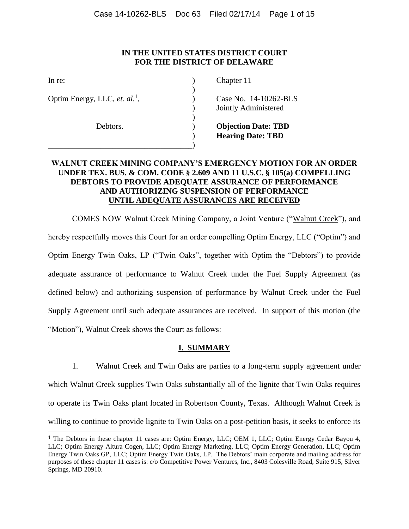## **IN THE UNITED STATES DISTRICT COURT FOR THE DISTRICT OF DELAWARE**

| In re:                                    | Chapter 11       |
|-------------------------------------------|------------------|
| Optim Energy, LLC, et. al. <sup>1</sup> , | Case No. 1       |
|                                           | Jointly Adı      |
| Debtors.                                  | Objection        |
|                                           | <b>Hearing D</b> |

14-10262-BLS ministered

**Date: TBD Pate: TBD** 

# **WALNUT CREEK MINING COMPANY'S EMERGENCY MOTION FOR AN ORDER UNDER TEX. BUS. & COM. CODE § 2.609 AND 11 U.S.C. § 105(a) COMPELLING DEBTORS TO PROVIDE ADEQUATE ASSURANCE OF PERFORMANCE AND AUTHORIZING SUSPENSION OF PERFORMANCE UNTIL ADEQUATE ASSURANCES ARE RECEIVED**

COMES NOW Walnut Creek Mining Company, a Joint Venture ("Walnut Creek"), and hereby respectfully moves this Court for an order compelling Optim Energy, LLC ("Optim") and Optim Energy Twin Oaks, LP ("Twin Oaks", together with Optim the "Debtors") to provide adequate assurance of performance to Walnut Creek under the Fuel Supply Agreement (as defined below) and authorizing suspension of performance by Walnut Creek under the Fuel Supply Agreement until such adequate assurances are received. In support of this motion (the "Motion"), Walnut Creek shows the Court as follows:

## **I. SUMMARY**

1. Walnut Creek and Twin Oaks are parties to a long-term supply agreement under which Walnut Creek supplies Twin Oaks substantially all of the lignite that Twin Oaks requires to operate its Twin Oaks plant located in Robertson County, Texas. Although Walnut Creek is willing to continue to provide lignite to Twin Oaks on a post-petition basis, it seeks to enforce its

<sup>1</sup> The Debtors in these chapter 11 cases are: Optim Energy, LLC; OEM 1, LLC; Optim Energy Cedar Bayou 4, LLC; Optim Energy Altura Cogen, LLC; Optim Energy Marketing, LLC; Optim Energy Generation, LLC; Optim Energy Twin Oaks GP, LLC; Optim Energy Twin Oaks, LP. The Debtors' main corporate and mailing address for purposes of these chapter 11 cases is: c/o Competitive Power Ventures, Inc., 8403 Colesville Road, Suite 915, Silver Springs, MD 20910.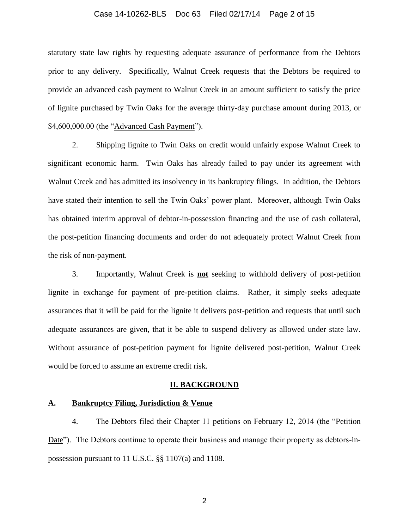#### Case 14-10262-BLS Doc 63 Filed 02/17/14 Page 2 of 15

statutory state law rights by requesting adequate assurance of performance from the Debtors prior to any delivery. Specifically, Walnut Creek requests that the Debtors be required to provide an advanced cash payment to Walnut Creek in an amount sufficient to satisfy the price of lignite purchased by Twin Oaks for the average thirty-day purchase amount during 2013, or \$4,600,000.00 (the "Advanced Cash Payment").

2. Shipping lignite to Twin Oaks on credit would unfairly expose Walnut Creek to significant economic harm. Twin Oaks has already failed to pay under its agreement with Walnut Creek and has admitted its insolvency in its bankruptcy filings. In addition, the Debtors have stated their intention to sell the Twin Oaks' power plant. Moreover, although Twin Oaks has obtained interim approval of debtor-in-possession financing and the use of cash collateral, the post-petition financing documents and order do not adequately protect Walnut Creek from the risk of non-payment.

3. Importantly, Walnut Creek is **not** seeking to withhold delivery of post-petition lignite in exchange for payment of pre-petition claims. Rather, it simply seeks adequate assurances that it will be paid for the lignite it delivers post-petition and requests that until such adequate assurances are given, that it be able to suspend delivery as allowed under state law. Without assurance of post-petition payment for lignite delivered post-petition, Walnut Creek would be forced to assume an extreme credit risk.

#### **II. BACKGROUND**

### **A. Bankruptcy Filing, Jurisdiction & Venue**

4. The Debtors filed their Chapter 11 petitions on February 12, 2014 (the "Petition Date"). The Debtors continue to operate their business and manage their property as debtors-inpossession pursuant to 11 U.S.C. §§ 1107(a) and 1108.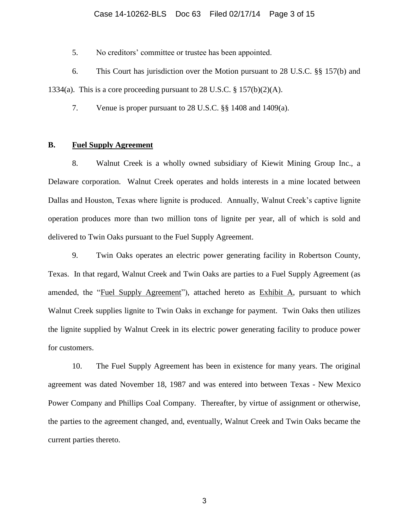5. No creditors' committee or trustee has been appointed.

6. This Court has jurisdiction over the Motion pursuant to 28 U.S.C. §§ 157(b) and 1334(a). This is a core proceeding pursuant to 28 U.S.C.  $\S 157(b)(2)(A)$ .

7. Venue is proper pursuant to 28 U.S.C. §§ 1408 and 1409(a).

## **B. Fuel Supply Agreement**

8. Walnut Creek is a wholly owned subsidiary of Kiewit Mining Group Inc., a Delaware corporation. Walnut Creek operates and holds interests in a mine located between Dallas and Houston, Texas where lignite is produced. Annually, Walnut Creek's captive lignite operation produces more than two million tons of lignite per year, all of which is sold and delivered to Twin Oaks pursuant to the Fuel Supply Agreement.

9. Twin Oaks operates an electric power generating facility in Robertson County, Texas. In that regard, Walnut Creek and Twin Oaks are parties to a Fuel Supply Agreement (as amended, the "Fuel Supply Agreement"), attached hereto as Exhibit A, pursuant to which Walnut Creek supplies lignite to Twin Oaks in exchange for payment. Twin Oaks then utilizes the lignite supplied by Walnut Creek in its electric power generating facility to produce power for customers.

10. The Fuel Supply Agreement has been in existence for many years. The original agreement was dated November 18, 1987 and was entered into between Texas - New Mexico Power Company and Phillips Coal Company. Thereafter, by virtue of assignment or otherwise, the parties to the agreement changed, and, eventually, Walnut Creek and Twin Oaks became the current parties thereto.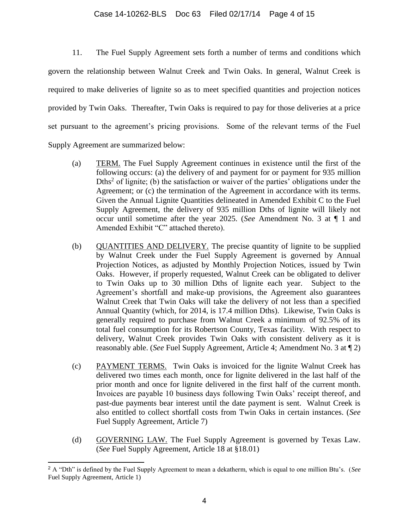### Case 14-10262-BLS Doc 63 Filed 02/17/14 Page 4 of 15

11. The Fuel Supply Agreement sets forth a number of terms and conditions which govern the relationship between Walnut Creek and Twin Oaks. In general, Walnut Creek is required to make deliveries of lignite so as to meet specified quantities and projection notices provided by Twin Oaks. Thereafter, Twin Oaks is required to pay for those deliveries at a price set pursuant to the agreement's pricing provisions. Some of the relevant terms of the Fuel Supply Agreement are summarized below:

- (a) TERM. The Fuel Supply Agreement continues in existence until the first of the following occurs: (a) the delivery of and payment for or payment for 935 million Dths<sup>2</sup> of lignite; (b) the satisfaction or waiver of the parties' obligations under the Agreement; or (c) the termination of the Agreement in accordance with its terms. Given the Annual Lignite Quantities delineated in Amended Exhibit C to the Fuel Supply Agreement, the delivery of 935 million Dths of lignite will likely not occur until sometime after the year 2025. (*See* Amendment No. 3 at ¶ 1 and Amended Exhibit "C" attached thereto).
- (b) QUANTITIES AND DELIVERY. The precise quantity of lignite to be supplied by Walnut Creek under the Fuel Supply Agreement is governed by Annual Projection Notices, as adjusted by Monthly Projection Notices, issued by Twin Oaks. However, if properly requested, Walnut Creek can be obligated to deliver to Twin Oaks up to 30 million Dths of lignite each year. Subject to the Agreement's shortfall and make-up provisions, the Agreement also guarantees Walnut Creek that Twin Oaks will take the delivery of not less than a specified Annual Quantity (which, for 2014, is 17.4 million Dths). Likewise, Twin Oaks is generally required to purchase from Walnut Creek a minimum of 92.5% of its total fuel consumption for its Robertson County, Texas facility. With respect to delivery, Walnut Creek provides Twin Oaks with consistent delivery as it is reasonably able. (*See* Fuel Supply Agreement, Article 4; Amendment No. 3 at ¶ 2)
- (c) PAYMENT TERMS. Twin Oaks is invoiced for the lignite Walnut Creek has delivered two times each month, once for lignite delivered in the last half of the prior month and once for lignite delivered in the first half of the current month. Invoices are payable 10 business days following Twin Oaks' receipt thereof, and past-due payments bear interest until the date payment is sent. Walnut Creek is also entitled to collect shortfall costs from Twin Oaks in certain instances. (*See* Fuel Supply Agreement, Article 7)
- (d) GOVERNING LAW. The Fuel Supply Agreement is governed by Texas Law. (*See* Fuel Supply Agreement, Article 18 at §18.01)

l

<sup>2</sup> A "Dth" is defined by the Fuel Supply Agreement to mean a dekatherm, which is equal to one million Btu's. (*See* Fuel Supply Agreement, Article 1)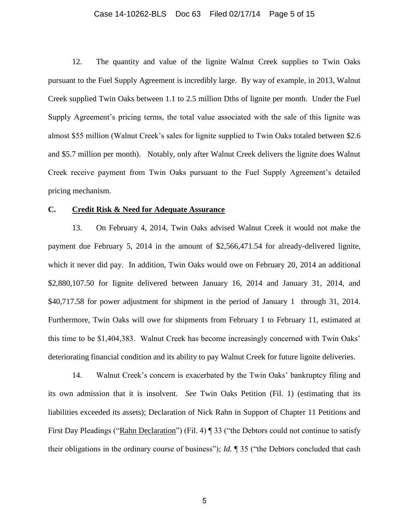### Case 14-10262-BLS Doc 63 Filed 02/17/14 Page 5 of 15

12. The quantity and value of the lignite Walnut Creek supplies to Twin Oaks pursuant to the Fuel Supply Agreement is incredibly large. By way of example, in 2013, Walnut Creek supplied Twin Oaks between 1.1 to 2.5 million Dths of lignite per month. Under the Fuel Supply Agreement's pricing terms, the total value associated with the sale of this lignite was almost \$55 million (Walnut Creek's sales for lignite supplied to Twin Oaks totaled between \$2.6 and \$5.7 million per month). Notably, only after Walnut Creek delivers the lignite does Walnut Creek receive payment from Twin Oaks pursuant to the Fuel Supply Agreement's detailed pricing mechanism.

## **C. Credit Risk & Need for Adequate Assurance**

13. On February 4, 2014, Twin Oaks advised Walnut Creek it would not make the payment due February 5, 2014 in the amount of \$2,566,471.54 for already-delivered lignite, which it never did pay. In addition, Twin Oaks would owe on February 20, 2014 an additional \$2,880,107.50 for Iignite delivered between January 16, 2014 and January 31, 2014, and \$40,717.58 for power adjustment for shipment in the period of January 1 through 31, 2014. Furthermore, Twin Oaks will owe for shipments from February 1 to February 11, estimated at this time to be \$1,404,383. Walnut Creek has become increasingly concerned with Twin Oaks' deteriorating financial condition and its ability to pay Walnut Creek for future lignite deliveries.

14. Walnut Creek's concern is exacerbated by the Twin Oaks' bankruptcy filing and its own admission that it is insolvent. *See* Twin Oaks Petition (Fil. 1) (estimating that its liabilities exceeded its assets); Declaration of Nick Rahn in Support of Chapter 11 Petitions and First Day Pleadings ("Rahn Declaration") (Fil. 4) ¶ 33 ("the Debtors could not continue to satisfy their obligations in the ordinary course of business"); *Id.* ¶ 35 ("the Debtors concluded that cash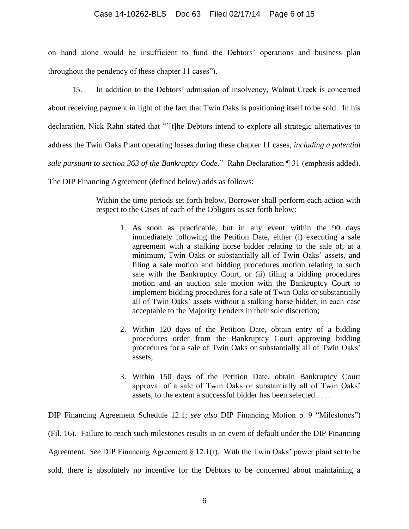on hand alone would be insufficient to fund the Debtors' operations and business plan throughout the pendency of these chapter 11 cases").

15. In addition to the Debtors' admission of insolvency, Walnut Creek is concerned about receiving payment in light of the fact that Twin Oaks is positioning itself to be sold. In his declaration, Nick Rahn stated that "'[t]he Debtors intend to explore all strategic alternatives to address the Twin Oaks Plant operating losses during these chapter 11 cases, *including a potential sale pursuant to section 363 of the Bankruptcy Code*." Rahn Declaration ¶ 31 (emphasis added).

The DIP Financing Agreement (defined below) adds as follows:

Within the time periods set forth below, Borrower shall perform each action with respect to the Cases of each of the Obligors as set forth below:

- 1. As soon as practicable, but in any event within the 90 days immediately following the Petition Date, either (i) executing a sale agreement with a stalking horse bidder relating to the sale of, at a minimum, Twin Oaks or substantially all of Twin Oaks' assets, and filing a sale motion and bidding procedures motion relating to such sale with the Bankruptcy Court, or (ii) filing a bidding procedures motion and an auction sale motion with the Bankruptcy Court to implement bidding procedures for a sale of Twin Oaks or substantially all of Twin Oaks' assets without a stalking horse bidder; in each case acceptable to the Majority Lenders in their sole discretion;
- 2. Within 120 days of the Petition Date, obtain entry of a bidding procedures order from the Bankruptcy Court approving bidding procedures for a sale of Twin Oaks or substantially all of Twin Oaks' assets;
- 3. Within 150 days of the Petition Date, obtain Bankruptcy Court approval of a sale of Twin Oaks or substantially all of Twin Oaks' assets, to the extent a successful bidder has been selected . . . .

DIP Financing Agreement Schedule 12.1; *see also* DIP Financing Motion p. 9 "Milestones") (Fil. 16). Failure to reach such milestones results in an event of default under the DIP Financing Agreement. *See* DIP Financing Agreement § 12.1(r). With the Twin Oaks' power plant set to be sold, there is absolutely no incentive for the Debtors to be concerned about maintaining a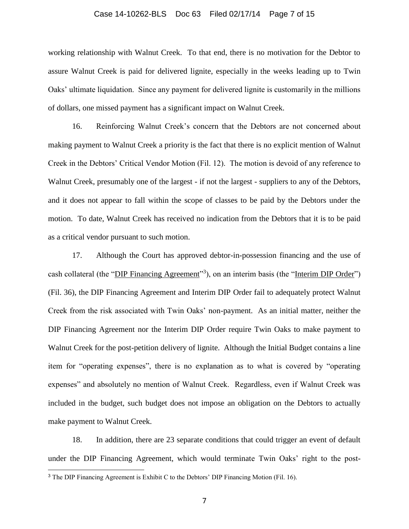#### Case 14-10262-BLS Doc 63 Filed 02/17/14 Page 7 of 15

working relationship with Walnut Creek. To that end, there is no motivation for the Debtor to assure Walnut Creek is paid for delivered lignite, especially in the weeks leading up to Twin Oaks' ultimate liquidation. Since any payment for delivered lignite is customarily in the millions of dollars, one missed payment has a significant impact on Walnut Creek.

16. Reinforcing Walnut Creek's concern that the Debtors are not concerned about making payment to Walnut Creek a priority is the fact that there is no explicit mention of Walnut Creek in the Debtors' Critical Vendor Motion (Fil. 12). The motion is devoid of any reference to Walnut Creek, presumably one of the largest - if not the largest - suppliers to any of the Debtors, and it does not appear to fall within the scope of classes to be paid by the Debtors under the motion. To date, Walnut Creek has received no indication from the Debtors that it is to be paid as a critical vendor pursuant to such motion.

17. Although the Court has approved debtor-in-possession financing and the use of cash collateral (the "DIP Financing Agreement"<sup>3</sup>), on an interim basis (the "Interim DIP Order") (Fil. 36), the DIP Financing Agreement and Interim DIP Order fail to adequately protect Walnut Creek from the risk associated with Twin Oaks' non-payment. As an initial matter, neither the DIP Financing Agreement nor the Interim DIP Order require Twin Oaks to make payment to Walnut Creek for the post-petition delivery of lignite. Although the Initial Budget contains a line item for "operating expenses", there is no explanation as to what is covered by "operating expenses" and absolutely no mention of Walnut Creek. Regardless, even if Walnut Creek was included in the budget, such budget does not impose an obligation on the Debtors to actually make payment to Walnut Creek.

18. In addition, there are 23 separate conditions that could trigger an event of default under the DIP Financing Agreement, which would terminate Twin Oaks' right to the post-

l

<sup>&</sup>lt;sup>3</sup> The DIP Financing Agreement is Exhibit C to the Debtors' DIP Financing Motion (Fil. 16).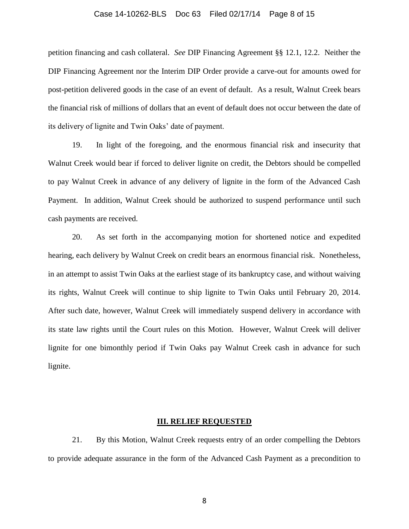#### Case 14-10262-BLS Doc 63 Filed 02/17/14 Page 8 of 15

petition financing and cash collateral. *See* DIP Financing Agreement §§ 12.1, 12.2. Neither the DIP Financing Agreement nor the Interim DIP Order provide a carve-out for amounts owed for post-petition delivered goods in the case of an event of default. As a result, Walnut Creek bears the financial risk of millions of dollars that an event of default does not occur between the date of its delivery of lignite and Twin Oaks' date of payment.

19. In light of the foregoing, and the enormous financial risk and insecurity that Walnut Creek would bear if forced to deliver lignite on credit, the Debtors should be compelled to pay Walnut Creek in advance of any delivery of lignite in the form of the Advanced Cash Payment. In addition, Walnut Creek should be authorized to suspend performance until such cash payments are received.

20. As set forth in the accompanying motion for shortened notice and expedited hearing, each delivery by Walnut Creek on credit bears an enormous financial risk. Nonetheless, in an attempt to assist Twin Oaks at the earliest stage of its bankruptcy case, and without waiving its rights, Walnut Creek will continue to ship lignite to Twin Oaks until February 20, 2014. After such date, however, Walnut Creek will immediately suspend delivery in accordance with its state law rights until the Court rules on this Motion. However, Walnut Creek will deliver lignite for one bimonthly period if Twin Oaks pay Walnut Creek cash in advance for such lignite.

#### **III. RELIEF REQUESTED**

21. By this Motion, Walnut Creek requests entry of an order compelling the Debtors to provide adequate assurance in the form of the Advanced Cash Payment as a precondition to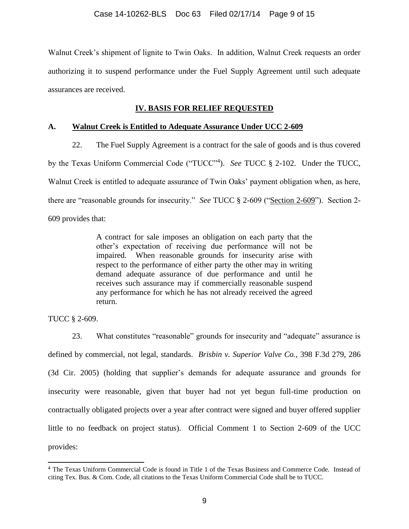Walnut Creek's shipment of lignite to Twin Oaks. In addition, Walnut Creek requests an order authorizing it to suspend performance under the Fuel Supply Agreement until such adequate assurances are received.

## **IV. BASIS FOR RELIEF REQUESTED**

## **A. Walnut Creek is Entitled to Adequate Assurance Under UCC 2-609**

22. The Fuel Supply Agreement is a contract for the sale of goods and is thus covered by the Texas Uniform Commercial Code ("TUCC"<sup>4</sup>). *See* TUCC § 2-102. Under the TUCC, Walnut Creek is entitled to adequate assurance of Twin Oaks' payment obligation when, as here, there are "reasonable grounds for insecurity." *See* TUCC § 2-609 ("Section 2-609"). Section 2-609 provides that:

> A contract for sale imposes an obligation on each party that the other's expectation of receiving due performance will not be impaired. When reasonable grounds for insecurity arise with respect to the performance of either party the other may in writing demand adequate assurance of due performance and until he receives such assurance may if commercially reasonable suspend any performance for which he has not already received the agreed return.

TUCC § 2-609.

l

23. What constitutes "reasonable" grounds for insecurity and "adequate" assurance is defined by commercial, not legal, standards. *Brisbin v. Superior Valve Co.*, 398 F.3d 279, 286 (3d Cir. 2005) (holding that supplier's demands for adequate assurance and grounds for insecurity were reasonable, given that buyer had not yet begun full-time production on contractually obligated projects over a year after contract were signed and buyer offered supplier little to no feedback on project status). Official Comment 1 to Section 2-609 of the UCC provides:

<sup>4</sup> The Texas Uniform Commercial Code is found in Title 1 of the Texas Business and Commerce Code. Instead of citing Tex. Bus. & Com. Code, all citations to the Texas Uniform Commercial Code shall be to TUCC.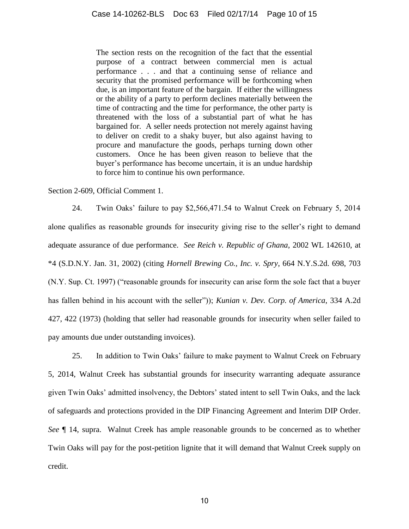The section rests on the recognition of the fact that the essential purpose of a contract between commercial men is actual performance . . . and that a continuing sense of reliance and security that the promised performance will be forthcoming when due, is an important feature of the bargain. If either the willingness or the ability of a party to perform declines materially between the time of contracting and the time for performance, the other party is threatened with the loss of a substantial part of what he has bargained for. A seller needs protection not merely against having to deliver on credit to a shaky buyer, but also against having to procure and manufacture the goods, perhaps turning down other customers. Once he has been given reason to believe that the buyer's performance has become uncertain, it is an undue hardship to force him to continue his own performance.

Section 2-609, Official Comment 1.

24. Twin Oaks' failure to pay \$2,566,471.54 to Walnut Creek on February 5, 2014 alone qualifies as reasonable grounds for insecurity giving rise to the seller's right to demand adequate assurance of due performance. *See Reich v. Republic of Ghana*, 2002 WL 142610, at \*4 (S.D.N.Y. Jan. 31, 2002) (citing *Hornell Brewing Co., Inc. v. Spry*, 664 N.Y.S.2d. 698, 703 (N.Y. Sup. Ct. 1997) ("reasonable grounds for insecurity can arise form the sole fact that a buyer has fallen behind in his account with the seller")); *Kunian v. Dev. Corp. of America*, 334 A.2d 427, 422 (1973) (holding that seller had reasonable grounds for insecurity when seller failed to pay amounts due under outstanding invoices).

25. In addition to Twin Oaks' failure to make payment to Walnut Creek on February 5, 2014, Walnut Creek has substantial grounds for insecurity warranting adequate assurance given Twin Oaks' admitted insolvency, the Debtors' stated intent to sell Twin Oaks, and the lack of safeguards and protections provided in the DIP Financing Agreement and Interim DIP Order. *See* ¶ 14, supra. Walnut Creek has ample reasonable grounds to be concerned as to whether Twin Oaks will pay for the post-petition lignite that it will demand that Walnut Creek supply on credit.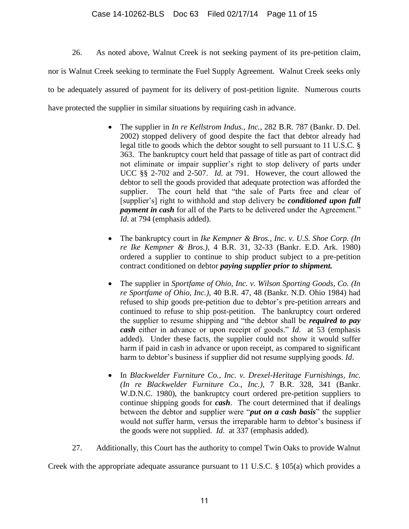## Case 14-10262-BLS Doc 63 Filed 02/17/14 Page 11 of 15

26. As noted above, Walnut Creek is not seeking payment of its pre-petition claim, nor is Walnut Creek seeking to terminate the Fuel Supply Agreement. Walnut Creek seeks only to be adequately assured of payment for its delivery of post-petition lignite. Numerous courts have protected the supplier in similar situations by requiring cash in advance.

- The supplier in *In re Kellstrom Indus., Inc.*, 282 B.R. 787 (Bankr. D. Del. 2002) stopped delivery of good despite the fact that debtor already had legal title to goods which the debtor sought to sell pursuant to 11 U.S.C. § 363. The bankruptcy court held that passage of title as part of contract did not eliminate or impair supplier's right to stop delivery of parts under UCC §§ 2-702 and 2-507. *Id*. at 791. However, the court allowed the debtor to sell the goods provided that adequate protection was afforded the supplier. The court held that "the sale of Parts free and clear of [supplier's] right to withhold and stop delivery be *conditioned upon full payment in cash* for all of the Parts to be delivered under the Agreement." *Id*. at 794 (emphasis added).
- The bankruptcy court in *Ike Kempner & Bros., Inc. v. U.S. Shoe Corp. (In re Ike Kempner & Bros.)*, 4 B.R. 31, 32-33 (Bankr. E.D. Ark. 1980) ordered a supplier to continue to ship product subject to a pre-petition contract conditioned on debtor *paying supplier prior to shipment.*
- The supplier in *Sportfame of Ohio, Inc. v. Wilson Sporting Goods, Co. (In re Sportfame of Ohio, Inc.)*, 40 B.R. 47, 48 (Bankr. N.D. Ohio 1984) had refused to ship goods pre-petition due to debtor's pre-petition arrears and continued to refuse to ship post-petition. The bankruptcy court ordered the supplier to resume shipping and "the debtor shall be *required to pay cash* either in advance or upon receipt of goods." *Id*. at 53 (emphasis added). Under these facts, the supplier could not show it would suffer harm if paid in cash in advance or upon receipt, as compared to significant harm to debtor's business if supplier did not resume supplying goods. *Id*.
- In *Blackwelder Furniture Co., Inc. v. Drexel-Heritage Furnishings, Inc. (In re Blackwelder Furniture Co., Inc.)*, 7 B.R. 328, 341 (Bankr. W.D.N.C. 1980), the bankruptcy court ordered pre-petition suppliers to continue shipping goods for *cash*. The court determined that if dealings between the debtor and supplier were "*put on a cash basis*" the supplier would not suffer harm, versus the irreparable harm to debtor's business if the goods were not supplied. *Id*. at 337 (emphasis added).
- 27. Additionally, this Court has the authority to compel Twin Oaks to provide Walnut

Creek with the appropriate adequate assurance pursuant to 11 U.S.C. § 105(a) which provides a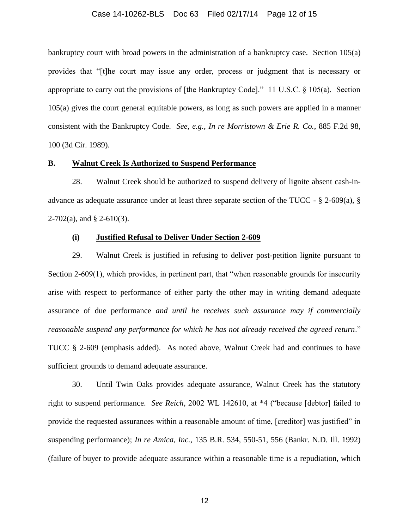#### Case 14-10262-BLS Doc 63 Filed 02/17/14 Page 12 of 15

bankruptcy court with broad powers in the administration of a bankruptcy case. Section 105(a) provides that "[t]he court may issue any order, process or judgment that is necessary or appropriate to carry out the provisions of [the Bankruptcy Code]." 11 U.S.C.  $\S$  105(a). Section 105(a) gives the court general equitable powers, as long as such powers are applied in a manner consistent with the Bankruptcy Code. *See, e.g.*, *In re Morristown & Erie R. Co.*, 885 F.2d 98, 100 (3d Cir. 1989).

### **B. Walnut Creek Is Authorized to Suspend Performance**

28. Walnut Creek should be authorized to suspend delivery of lignite absent cash-inadvance as adequate assurance under at least three separate section of the TUCC -  $\S$  2-609(a),  $\S$  $2-702(a)$ , and § 2-610(3).

## **(i) Justified Refusal to Deliver Under Section 2-609**

29. Walnut Creek is justified in refusing to deliver post-petition lignite pursuant to Section 2-609(1), which provides, in pertinent part, that "when reasonable grounds for insecurity arise with respect to performance of either party the other may in writing demand adequate assurance of due performance *and until he receives such assurance may if commercially reasonable suspend any performance for which he has not already received the agreed return*." TUCC § 2-609 (emphasis added). As noted above, Walnut Creek had and continues to have sufficient grounds to demand adequate assurance.

30. Until Twin Oaks provides adequate assurance, Walnut Creek has the statutory right to suspend performance. *See Reich*, 2002 WL 142610, at \*4 ("because [debtor] failed to provide the requested assurances within a reasonable amount of time, [creditor] was justified" in suspending performance); *In re Amica, Inc.*, 135 B.R. 534, 550-51, 556 (Bankr. N.D. Ill. 1992) (failure of buyer to provide adequate assurance within a reasonable time is a repudiation, which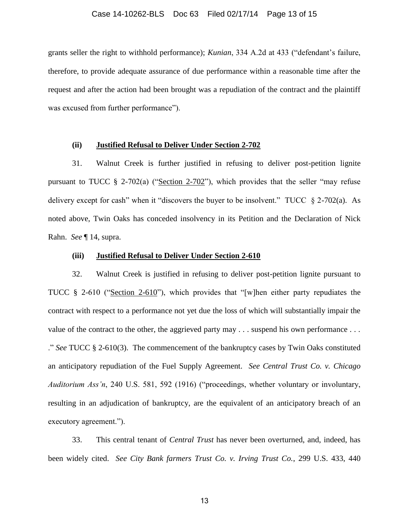#### Case 14-10262-BLS Doc 63 Filed 02/17/14 Page 13 of 15

grants seller the right to withhold performance); *Kunian*, 334 A.2d at 433 ("defendant's failure, therefore, to provide adequate assurance of due performance within a reasonable time after the request and after the action had been brought was a repudiation of the contract and the plaintiff was excused from further performance").

### **(ii) Justified Refusal to Deliver Under Section 2-702**

31. Walnut Creek is further justified in refusing to deliver post-petition lignite pursuant to TUCC  $\S$  2-702(a) ("Section 2-702"), which provides that the seller "may refuse delivery except for cash" when it "discovers the buyer to be insolvent." TUCC  $\S$  2-702(a). As noted above, Twin Oaks has conceded insolvency in its Petition and the Declaration of Nick Rahn. *See* ¶ 14, supra.

### **(iii) Justified Refusal to Deliver Under Section 2-610**

32. Walnut Creek is justified in refusing to deliver post-petition lignite pursuant to TUCC § 2-610 ("Section 2-610"), which provides that "[w]hen either party repudiates the contract with respect to a performance not yet due the loss of which will substantially impair the value of the contract to the other, the aggrieved party may . . . suspend his own performance . . . ." *See* TUCC § 2-610(3). The commencement of the bankruptcy cases by Twin Oaks constituted an anticipatory repudiation of the Fuel Supply Agreement. *See Central Trust Co. v. Chicago Auditorium Ass'n*, 240 U.S. 581, 592 (1916) ("proceedings, whether voluntary or involuntary, resulting in an adjudication of bankruptcy, are the equivalent of an anticipatory breach of an executory agreement.").

33. This central tenant of *Central Trust* has never been overturned, and, indeed, has been widely cited. *See City Bank farmers Trust Co. v. Irving Trust Co.*, 299 U.S. 433, 440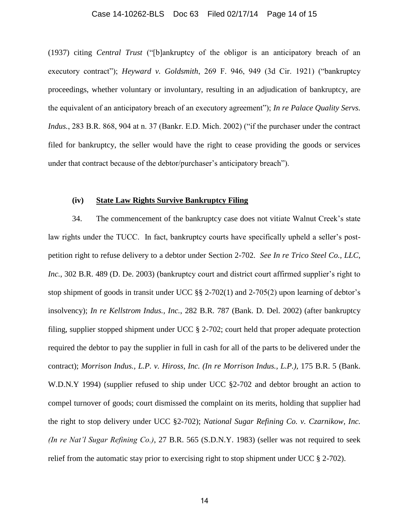#### Case 14-10262-BLS Doc 63 Filed 02/17/14 Page 14 of 15

(1937) citing *Central Trust* ("[b]ankruptcy of the obligor is an anticipatory breach of an executory contract"); *Heyward v. Goldsmith*, 269 F. 946, 949 (3d Cir. 1921) ("bankruptcy proceedings, whether voluntary or involuntary, resulting in an adjudication of bankruptcy, are the equivalent of an anticipatory breach of an executory agreement"); *In re Palace Quality Servs. Indus.*, 283 B.R. 868, 904 at n. 37 (Bankr. E.D. Mich. 2002) ("if the purchaser under the contract filed for bankruptcy, the seller would have the right to cease providing the goods or services under that contract because of the debtor/purchaser's anticipatory breach").

### **(iv) State Law Rights Survive Bankruptcy Filing**

34. The commencement of the bankruptcy case does not vitiate Walnut Creek's state law rights under the TUCC. In fact, bankruptcy courts have specifically upheld a seller's postpetition right to refuse delivery to a debtor under Section 2-702. *See In re Trico Steel Co., LLC, Inc.*, 302 B.R. 489 (D. De. 2003) (bankruptcy court and district court affirmed supplier's right to stop shipment of goods in transit under UCC §§ 2-702(1) and 2-705(2) upon learning of debtor's insolvency); *In re Kellstrom Indus., Inc.*, 282 B.R. 787 (Bank. D. Del. 2002) (after bankruptcy filing, supplier stopped shipment under UCC § 2-702; court held that proper adequate protection required the debtor to pay the supplier in full in cash for all of the parts to be delivered under the contract); *Morrison Indus., L.P. v. Hiross, Inc. (In re Morrison Indus., L.P.)*, 175 B.R. 5 (Bank. W.D.N.Y 1994) (supplier refused to ship under UCC §2-702 and debtor brought an action to compel turnover of goods; court dismissed the complaint on its merits, holding that supplier had the right to stop delivery under UCC §2-702); *National Sugar Refining Co. v. Czarnikow, Inc. (In re Nat'l Sugar Refining Co.)*, 27 B.R. 565 (S.D.N.Y. 1983) (seller was not required to seek relief from the automatic stay prior to exercising right to stop shipment under UCC § 2-702).